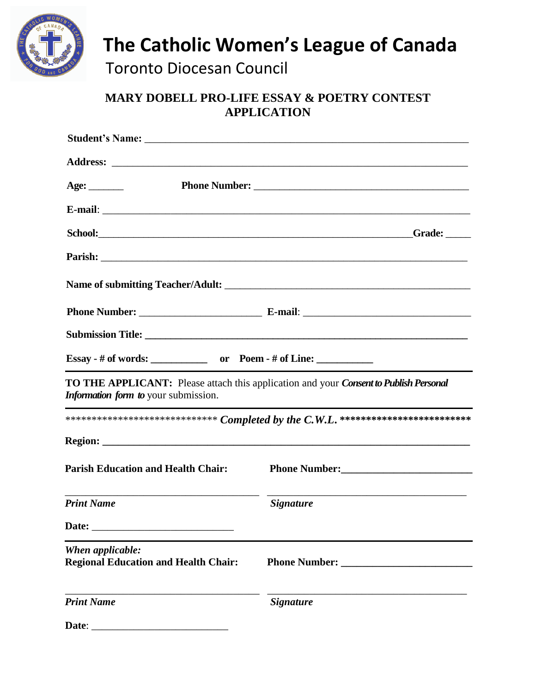

**The Catholic Women's League of Canada**

Toronto Diocesan Council

## **MARY DOBELL PRO-LIFE ESSAY & POETRY CONTEST APPLICATION**

| Age: $\_\_\_\_\_\_\_\_\$                                           |                                                                                                                                                                                                                                      |
|--------------------------------------------------------------------|--------------------------------------------------------------------------------------------------------------------------------------------------------------------------------------------------------------------------------------|
|                                                                    |                                                                                                                                                                                                                                      |
|                                                                    | Grade:                                                                                                                                                                                                                               |
|                                                                    | Parish: <u>Quantilative Community of the Community of the Community of the Community of the Community of the Community of the Community of the Community of the Community of the Community of the Community of the Community of </u> |
|                                                                    |                                                                                                                                                                                                                                      |
|                                                                    |                                                                                                                                                                                                                                      |
|                                                                    |                                                                                                                                                                                                                                      |
| Essay - # of words: ______________ or Poem - # of Line: __________ |                                                                                                                                                                                                                                      |
| <i>Information form to your submission.</i>                        | TO THE APPLICANT: Please attach this application and your Consent to Publish Personal                                                                                                                                                |
|                                                                    |                                                                                                                                                                                                                                      |
|                                                                    |                                                                                                                                                                                                                                      |
| <b>Parish Education and Health Chair:</b>                          |                                                                                                                                                                                                                                      |
| <b>Print Name</b>                                                  | <i>Signature</i>                                                                                                                                                                                                                     |
| Date:                                                              |                                                                                                                                                                                                                                      |
| When applicable:<br><b>Regional Education and Health Chair:</b>    |                                                                                                                                                                                                                                      |
| <b>Print Name</b>                                                  | <b>Signature</b>                                                                                                                                                                                                                     |
| Date:                                                              |                                                                                                                                                                                                                                      |